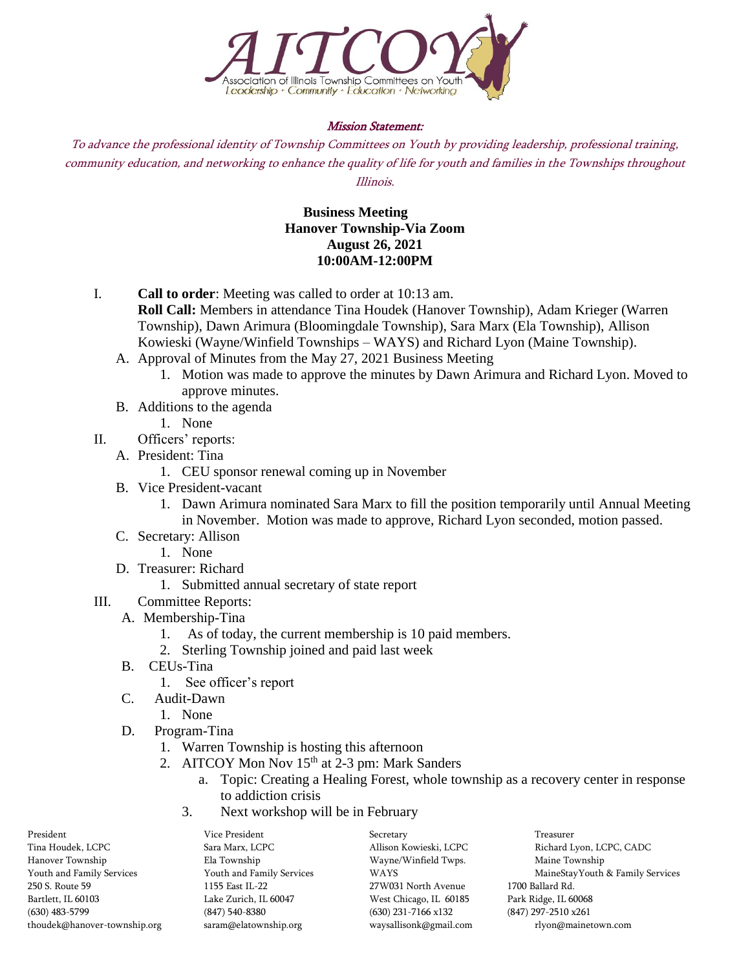

## Mission Statement:

To advance the professional identity of Township Committees on Youth by providing leadership, professional training, community education, and networking to enhance the quality of life for youth and families in the Townships throughout Illinois.

## **Business Meeting Hanover Township-Via Zoom August 26, 2021 10:00AM-12:00PM**

- I. **Call to order**: Meeting was called to order at 10:13 am. **Roll Call:** Members in attendance Tina Houdek (Hanover Township), Adam Krieger (Warren Township), Dawn Arimura (Bloomingdale Township), Sara Marx (Ela Township), Allison Kowieski (Wayne/Winfield Townships – WAYS) and Richard Lyon (Maine Township).
	- A. Approval of Minutes from the May 27, 2021 Business Meeting
		- 1. Motion was made to approve the minutes by Dawn Arimura and Richard Lyon. Moved to approve minutes.
	- B. Additions to the agenda
		- 1. None
- II. Officers' reports:
	- A. President: Tina
		- 1. CEU sponsor renewal coming up in November
	- B. Vice President-vacant
		- 1. Dawn Arimura nominated Sara Marx to fill the position temporarily until Annual Meeting in November. Motion was made to approve, Richard Lyon seconded, motion passed.
	- C. Secretary: Allison
		- 1. None
	- D. Treasurer: Richard
		- 1. Submitted annual secretary of state report
- III. Committee Reports:
	- A. Membership-Tina
		- 1. As of today, the current membership is 10 paid members.
		- 2. Sterling Township joined and paid last week
	- B. CEUs-Tina
		- 1. See officer's report
	- C. Audit-Dawn
		- 1. None
	- D. Program-Tina
		- 1. Warren Township is hosting this afternoon
		- 2. AITCOY Mon Nov 15<sup>th</sup> at 2-3 pm: Mark Sanders
			- a. Topic: Creating a Healing Forest, whole township as a recovery center in response to addiction crisis
			- 3. Next workshop will be in February

| President                    | Vice President            | Secretary              | Treasurer                        |
|------------------------------|---------------------------|------------------------|----------------------------------|
| Tina Houdek, LCPC            | Sara Marx, LCPC           | Allison Kowieski, LCPC | Richard Lyon, LCPC, CADC         |
| Hanover Township             | Ela Township              | Wayne/Winfield Twps.   | Maine Township                   |
| Youth and Family Services    | Youth and Family Services | <b>WAYS</b>            | MaineStayYouth & Family Services |
| 250 S. Route 59              | 1155 East IL-22           | 27W031 North Avenue    | 1700 Ballard Rd.                 |
| Bartlett, IL 60103           | Lake Zurich, IL 60047     | West Chicago, IL 60185 | Park Ridge, IL 60068             |
| (630) 483-5799               | $(847)$ 540-8380          | $(630)$ 231-7166 x132  | $(847)$ 297-2510 x261            |
| thoudek@hanover-township.org | saram@elatownship.org     | waysallisonk@gmail.com | rlyon@mainetown.com              |